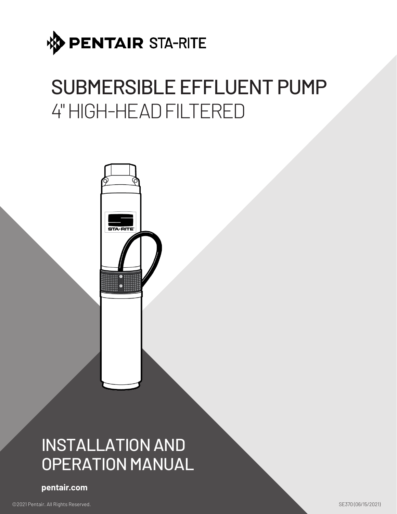

# SUBMERSIBLE EFFLUENT PUMP 4" HIGH-HEAD FILTERED



## INSTALLATION AND OPERATION MANUAL

**pentair.com**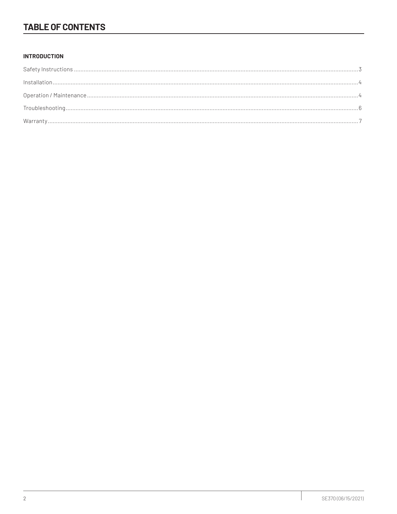## **TABLE OF CONTENTS**

#### **INTRODUCTION**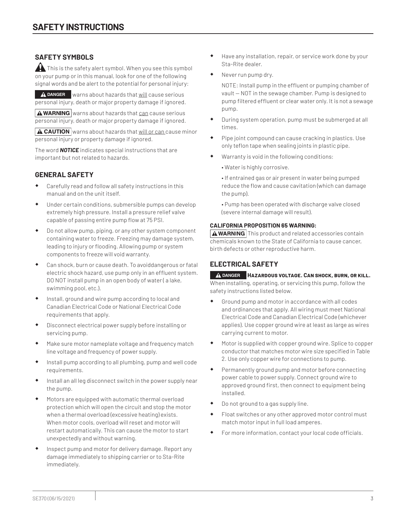#### **SAFETY SYMBOLS**

 $\blacktriangle$  This is the safety alert symbol. When you see this symbol on your pump or in this manual, look for one of the following signal words and be alert to the potential for personal injury:

**A** DANGER warns about hazards that will cause serious personal injury, death or major property damage if ignored.

 $\Delta$  WARNING warns about hazards that can cause serious personal injury, death or major property damage if ignored.

 $\Delta$  CAUTION warns about hazards that will or can cause minor personal injury or property damage if ignored.

The word *NOTICE* indicates special instructions that are important but not related to hazards.

#### **GENERAL SAFETY**

- Carefully read and follow all safety instructions in this manual and on the unit itself.
- Under certain conditions, submersible pumps can develop extremely high pressure. Install a pressure relief valve capable of passing entire pump flow at 75 PSI.
- Do not allow pump, piping, or any other system component containing water to freeze. Freezing may damage system, leading to injury or flooding. Allowing pump or system components to freeze will void warranty.
- Can shock, burn or cause death. To avoiddangerous or fatal electric shock hazard, use pump only in an effluent system. DO NOT install pump in an open body of water ( a lake, swimming pool, etc.).
- Install, ground and wire pump according to local and Canadian Electrical Code or National Electrical Code requirements that apply.
- Disconnect electrical power supply before installing or servicing pump.
- Make sure motor nameplate voltage and frequency match line voltage and frequency of power supply.
- Install pump according to all plumbing, pump and well code requirements.
- Install an all leg disconnect switch in the power supply near the pump.
- Motors are equipped with automatic thermal overload protection which will open the circuit and stop the motor when a thermal overload (excessive heating) exists. When motor cools, overload will reset and motor will restart automatically. This can cause the motor to start unexpectedly and without warning.
- Inspect pump and motor for delivery damage. Report any damage immediately to shipping carrier or to Sta-Rite immediately.
- Have any installation, repair, or service work done by your Sta-Rite dealer.
- Never run pump dry.

NOTE: Install pump in the effluent or pumping chamber of vault — NOT in the sewage chamber. Pump is designed to pump filtered effluent or clear water only. It is not a sewage pump.

- During system operation, pump must be submerged at all times.
- Pipe joint compound can cause cracking in plastics. Use only teflon tape when sealing joints in plastic pipe.
- Warranty is void in the following conditions:
	- Water is highly corrosive.
	- If entrained gas or air present in water being pumped reduce the flow and cause cavitation (which can damage the pump).

• Pump has been operated with discharge valve closed (severe internal damage will result).

#### **CALIFORNIA PROPOSITION 65 WARNING:**

 $\triangle$  WARNING This product and related accessories contain chemicals known to the State of California to cause cancer, birth defects or other reproductive harm.

#### **ELECTRICAL SAFETY**

#### **DANGER Hazardous voltage. Can shock, burn, or kill.** When installing, operating, or servicing this pump, follow the safety instructions listed below.

- Ground pump and motor in accordance with all codes and ordinances that apply. All wiring must meet National Electrical Code and Canadian Electrical Code (whichever applies). Use copper ground wire at least as large as wires carrying current to motor.
- Motor is supplied with copper ground wire. Splice to copper conductor that matches motor wire size specified in Table 2. Use only copper wire for connections to pump.
- Permanently ground pump and motor before connecting power cable to power supply. Connect ground wire to approved ground first, then connect to equipment being installed.
- Do not ground to a gas supply line.
- Float switches or any other approved motor control must match motor input in full load amperes.
- For more information, contact your local code officials.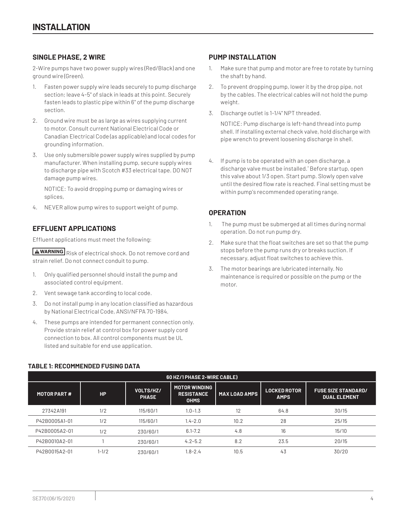#### **SINGLE PHASE, 2 WIRE**

2-Wire pumps have two power supply wires (Red/Black) and one ground wire (Green).

- 1. Fasten power supply wire leads securely to pump discharge section; leave 4-5" of slack in leads at this point. Securely fasten leads to plastic pipe within 6" of the pump discharge section.
- 2. Ground wire must be as large as wires supplying current to motor. Consult current National Electrical Code or Canadian Electrical Code (as applicable) and local codes for grounding information.
- 3. Use only submersible power supply wires supplied by pump manufacturer. When installing pump, secure supply wires to discharge pipe with Scotch #33 electrical tape. DO NOT damage pump wires.

NOTICE: To avoid dropping pump or damaging wires or splices,

4. NEVER allow pump wires to support weight of pump.

#### **EFFLUENT APPLICATIONS**

Effluent applications must meet the following:

**AWARNING** Risk of electrical shock. Do not remove cord and strain relief. Do not connect conduit to pump.

- 1. Only qualified personnel should install the pump and associated control equipment.
- 2. Vent sewage tank according to local code.
- 3. Do not install pump in any location classified as hazardous by National Electrical Code, ANSI/NFPA 70-1984.
- 4. These pumps are intended for permanent connection only. Provide strain relief at control box for power supply cord connection to box. All control components must be UL listed and suitable for end use application.

#### **PUMP INSTALLATION**

- 1. Make sure that pump and motor are free to rotate by turning the shaft by hand.
- 2. To prevent dropping pump, lower it by the drop pipe, not by the cables. The electrical cables will not hold the pump weight.
- 3. Discharge outlet is 1-1/4" NPT threaded.

NOTICE: Pump discharge is left-hand thread into pump shell. If installing external check valve, hold discharge with pipe wrench to prevent loosening discharge in shell.

4. If pump is to be operated with an open discharge, a discharge valve must be installed.ˆ Before startup, open this valve about 1/3 open. Start pump. Slowly open valve until the desired flow rate is reached. Final setting must be within pump's recommended operating range.

#### **OPERATION**

- 1. The pump must be submerged at all times during normal operation. Do not run pump dry.
- 2. Make sure that the float switches are set so that the pump stops before the pump runs dry or breaks suction. If necessary, adjust float switches to achieve this.
- 3. The motor bearings are lubricated internally. No maintenance is required or possible on the pump or the motor.

| 60 HZ/1 PHASE 2-WIRE CABLE) |           |                           |                                                          |               |                                    |                                                   |
|-----------------------------|-----------|---------------------------|----------------------------------------------------------|---------------|------------------------------------|---------------------------------------------------|
| <b>MOTOR PART#</b>          | HP.       | VOLTS/HZ/<br><b>PHASE</b> | <b>MOTOR WINDING</b><br><b>RESISTANCE</b><br><b>OHMS</b> | MAX LOAD AMPS | <b>LOCKED ROTOR</b><br><b>AMPS</b> | <b>FUSE SIZE STANDARD/</b><br><b>DUAL ELEMENT</b> |
| 27342A191                   | 1/2       | 115/60/1                  | $1.0 - 1.3$                                              | 12            | 64.8                               | 30/15                                             |
| P42B0005A1-01               | 1/2       | 115/60/1                  | $1.4 - 2.0$                                              | 10.2          | 28                                 | 25/15                                             |
| P42B0005A2-01               | 1/2       | 230/60/1                  | $6.1 - 7.2$                                              | 4.8           | 16                                 | 15/10                                             |
| P42B0010A2-01               |           | 230/60/1                  | $4.2 - 5.2$                                              | 8.2           | 23.5                               | 20/15                                             |
| P42B0015A2-01               | $1 - 1/2$ | 230/60/1                  | $1.8 - 2.4$                                              | 10.5          | 43                                 | 30/20                                             |

#### **TABLE 1: RECOMMENDED FUSING DATA**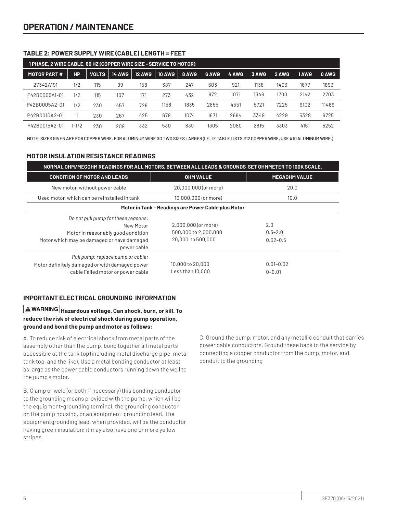#### **TABLE 2: POWER SUPPLY WIRE (CABLE) LENGTH = FEET**

| 1 PHASE, 2 WIRE CABLE, 60 HZ (COPPER WIRE SIZE - SERVICE TO MOTOR) |           |              |               |               |               |       |       |       |       |       |       |       |
|--------------------------------------------------------------------|-----------|--------------|---------------|---------------|---------------|-------|-------|-------|-------|-------|-------|-------|
| <b>MOTOR PART#</b>                                                 | НP        | <b>VOLTS</b> | <b>14 AWG</b> | <b>12 AWG</b> | <b>10 AWG</b> | 8 AWG | 6 AWG | 4 AWG | 3 AWG | 2 AWG | 1 AWG | 0 AWG |
| 27342A191                                                          | 1/2       | 115          | 99            | 158           | 387           | 247   | 603   | 921   | 1138  | 1403  | 1677  | 1893  |
| P42B0005A1-01                                                      | 1/2       | 115          | 107           | 171           | 273           | 432   | 672   | 1071  | 1346  | 1700  | 2142  | 2703  |
| P42B0005A2-01                                                      | 1/2       | 230          | 457           | 726           | 1158          | 1835  | 2855  | 4551  | 5721  | 7225  | 9102  | 11489 |
| P42B0010A2-01                                                      |           | 230          | 267           | 425           | 678           | 1074  | 1671  | 2664  | 3349  | 4229  | 5328  | 6725  |
| P42B0015A2-01                                                      | $1 - 1/2$ | 230          | 209           | 332           | 530           | 839   | 1305  | 2080  | 2615  | 3303  | 4161  | 5252  |

NOTE: SIZES GIVEN ARE FOR COPPER WIRE. FOR ALUMINUM WIRE GO TWO SIZES LARGER (I.E., IF TABLE LISTS #12 COPPER WIRE, USE #10 ALUMINUM WIRE.)

#### **MOTOR INSULATION RESISTANCE READINGS**

| NORMAL OHM/MEGOHM READINGS FOR ALL MOTORS, BETWEEN ALL LEADS & GROUNDS SET OHMMETER TO 100K SCALE.                                                  |                                                                  |                                    |  |  |
|-----------------------------------------------------------------------------------------------------------------------------------------------------|------------------------------------------------------------------|------------------------------------|--|--|
| <b>CONDITION OF MOTOR AND LEADS</b>                                                                                                                 | <b>OHM VALUE</b>                                                 | <b>MEGAOHM VALUE</b>               |  |  |
| New motor, without power cable                                                                                                                      | 20,000,000 (or more)                                             | 20.0                               |  |  |
| Used motor, which can be reinstalled in tank                                                                                                        | 10,000,000 (or more)                                             | 10.0                               |  |  |
|                                                                                                                                                     | Motor in Tank - Readings are Power Cable plus Motor              |                                    |  |  |
| Do not pull pump for these reasons:<br>New Motor<br>Motor in reasonably good condition<br>Motor which may be damaged or have damaged<br>power cable | 2,000,000 (or more)<br>500,000 to 2,000,000<br>20,000 to 500,000 | 2.0<br>$0.5 - 2.0$<br>$0.02 - 0.5$ |  |  |
| Pull pump; replace pump or cable:<br>Motor definitely damaged or with damaged power<br>cable Failed motor or power cable                            | 10,000 to 20,000<br>Less than 10,000                             | $0.01 - 0.02$<br>$0 - 0.01$        |  |  |

#### **IMPORTANT ELECTRICAL GROUNDING INFORMATION**

**Hazardous voltage. Can shock, burn, or kill. To reduce the risk of electrical shock during pump operation, ground and bond the pump and motor as follows:**

A. To reduce risk of electrical shock from metal parts of the assembly other than the pump, bond together all metal parts accessible at the tank top (including metal discharge pipe, metal tank top, and the like). Use a metal bonding conductor at least as large as the power cable conductors running down the well to the pump's motor.

B. Clamp or weld (or both if necessary) this bonding conductor to the grounding means provided with the pump, which will be the equipment-grounding terminal, the grounding conductor on the pump housing, or an equipment-grounding lead. The equipmentgrounding lead, when provided, will be the conductor having green insulation; it may also have one or more yellow stripes.

C. Ground the pump, motor, and any metallic conduit that carries power cable conductors. Ground these back to the service by connecting a copper conductor from the pump, motor, and conduit to the grounding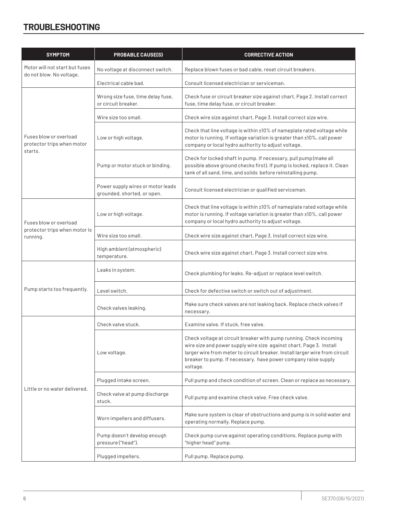### **TROUBLESHOOTING**

| <b>SYMPTOM</b>                                       | <b>PROBABLE CAUSE(S)</b>                                         | <b>CORRECTIVE ACTION</b>                                                                                                                                                                                                                                                                               |  |  |  |  |
|------------------------------------------------------|------------------------------------------------------------------|--------------------------------------------------------------------------------------------------------------------------------------------------------------------------------------------------------------------------------------------------------------------------------------------------------|--|--|--|--|
| Motor will not start but fuses                       | No voltage at disconnect switch.                                 | Replace blown fuses or bad cable, reset circuit breakers.                                                                                                                                                                                                                                              |  |  |  |  |
| do not blow. No voltage.                             | Electrical cable bad.                                            | Consult licensed electrician or serviceman.                                                                                                                                                                                                                                                            |  |  |  |  |
|                                                      | Wrong size fuse, time delay fuse,<br>or circuit breaker.         | Check fuse or circuit breaker size against chart, Page 2. Install correct<br>fuse, time delay fuse, or circuit breaker.                                                                                                                                                                                |  |  |  |  |
|                                                      | Wire size too small.                                             | Check wire size against chart, Page 3. Install correct size wire.                                                                                                                                                                                                                                      |  |  |  |  |
| Fuses blow or overload<br>protector trips when motor | Low or high voltage.                                             | Check that line voltage is within ±10% of nameplate rated voltage while<br>motor is running. If voltage variation is greater than ±10%, call power<br>company or local hydro authority to adjust voltage.                                                                                              |  |  |  |  |
| starts.                                              | Pump or motor stuck or binding.                                  | Check for locked shaft in pump. If necessary, pull pump (make all<br>possible above ground checks first). If pump is locked, replace it. Clean<br>tank of all sand, lime, and solids before reinstalling pump.                                                                                         |  |  |  |  |
|                                                      | Power supply wires or motor leads<br>grounded, shorted, or open. | Consult licensed electrician or qualified serviceman.                                                                                                                                                                                                                                                  |  |  |  |  |
| Fuses blow or overload                               | Low or high voltage.                                             | Check that line voltage is within ±10% of nameplate rated voltage while<br>motor is running. If voltage variation is greater than ±10%, call power<br>company or local hydro authority to adjust voltage.                                                                                              |  |  |  |  |
| protector trips when motor is<br>running.            | Wire size too small.                                             | Check wire size against chart, Page 3. Install correct size wire.                                                                                                                                                                                                                                      |  |  |  |  |
|                                                      | High ambient (atmospheric)<br>temperature.                       | Check wire size against chart, Page 3. Install correct size wire.                                                                                                                                                                                                                                      |  |  |  |  |
|                                                      | Leaks in system.                                                 | Check plumbing for leaks. Re-adjust or replace level switch.                                                                                                                                                                                                                                           |  |  |  |  |
| Pump starts too frequently.                          | Level switch.                                                    | Check for defective switch or switch out of adjustment.                                                                                                                                                                                                                                                |  |  |  |  |
|                                                      | Check valves leaking.                                            | Make sure check valves are not leaking back. Replace check valves if<br>necessary.                                                                                                                                                                                                                     |  |  |  |  |
|                                                      | Check valve stuck.                                               | Examine valve. If stuck, free valve.                                                                                                                                                                                                                                                                   |  |  |  |  |
| Little or no water delivered.                        | Low voltage.                                                     | Check voltage at circuit breaker with pump running. Check incoming<br>wire size and power supply wire size against chart, Page 3. Install<br>larger wire from meter to circuit breaker. Install larger wire from circuit<br>breaker to pump. If necessary, have power company raise supply<br>voltage. |  |  |  |  |
|                                                      | Plugged intake screen.                                           | Pull pump and check condition of screen. Clean or replace as necessary.                                                                                                                                                                                                                                |  |  |  |  |
|                                                      | Check valve at pump discharge<br>stuck.                          | Pull pump and examine check valve. Free check valve.                                                                                                                                                                                                                                                   |  |  |  |  |
|                                                      | Worn impellers and diffusers.                                    | Make sure system is clear of obstructions and pump is in solid water and<br>operating normally. Replace pump.                                                                                                                                                                                          |  |  |  |  |
|                                                      | Pump doesn't develop enough<br>pressure ("head").                | Check pump curve against operating conditions. Replace pump with<br>"higher head" pump.                                                                                                                                                                                                                |  |  |  |  |
|                                                      | Plugged impellers.                                               | Pull pump. Replace pump.                                                                                                                                                                                                                                                                               |  |  |  |  |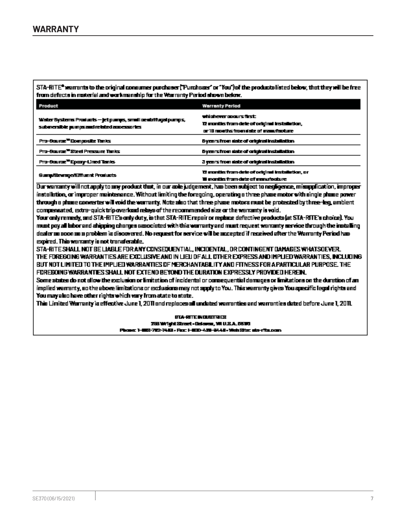STA-RITE\* warrants to the original consumer purchaser ("Purchaser" or "You") of the products listed below, that they will be free from defects in material and workmanship for the Warranty Period shown below.

| Product                                                                                                     | <b>Warranty Period</b>                                                                                              |
|-------------------------------------------------------------------------------------------------------------|---------------------------------------------------------------------------------------------------------------------|
| Water Systems Products — jet pumps, small ceatrifugal pumps, .<br>submersible pumps and related anoman fies | which ever apours first.<br>12 months from date of original installation,<br>or 18 months from date of manufacture. |
| Pro-Bourge <sup>w</sup> Composite Tenks                                                                     | by cors from state of original installation.                                                                        |
| Pro-Bourge <sup>w</sup> Steel Pressure Tanks                                                                | by cors from sixte of original installation.                                                                        |
| Pro-Baume <sup>rs</sup> Epany-Lined Tanks                                                                   | 3 years from state of original installation.                                                                        |
| Surg. Search Emuent Products.                                                                               | 12 months from date of original installation, or<br><b>If months from date of manufacture</b>                       |

Dur warranty will not apply to any product that, in our sole judgement, has been subject to neoligence, missoplication, improger instellation, or improper maintenance. Without limiting the foregoing, operating a three phase motor with single phase power through a phase converter will void the warranty. Note also that three phase motors must be protected by three-leg, ambient compensated, extra-quick trip overload relays of the recommended size or the warranty is void.

Your only remedy, and STA-RITE's only duty, is that STA-RITE repair or replace defective products (at STA-RITE's choice). You must pay all labor and shipping charges associated with this warranty and must request warranty service through the installing dealer as soon as a problem is discovered. No request for service will be accepted if received after the Warranty Period has expired. This warranty is not transferable.

STA-RITE SHALL NOT BE LIABLE FOR ANY CONSEQUENTIAL, INCIDENTAL, OR CONTINGENT DAMAGES WHATSOEVER. THE FOREGOING WARRANTIES ARE EXCLUSIVE AND IN LIEU DF ALL DTHER EXPRESS AND IMPLIED WARRANTIES. INCLUDING BUT NOT LIMITED TO THE IMPLIED WARRANTIES OF MERCHANTABLITY AND FITNESS FOR A PARTICULAR PURPOSE. THE FOREBOING WARRANTIES SHALL NOT EXTEND BEYOND THE DURATION EXPRESSLY PROVIDED HEREIN.

Some states do not allow the exclusion or limitation of incidental or consequential damages or limitations on the duration of an implied warranty, ao the above limitations or exclusions may not supply to You. This warranty gives You specific legal rights and You may also have other rights which vary from state to state.

This Limited Warranty is effective June 1, 2011 and replaces all undated warranties and warranties dated before June 1, 2011.

**BIA-RITE INDUSTRIES** 285 Wild & Street - October, WI U.S.A. 0500 Phone: 1-803-702-7443 - Fox: 1-800-425-9448 - Web Stig: ala-ritu.com